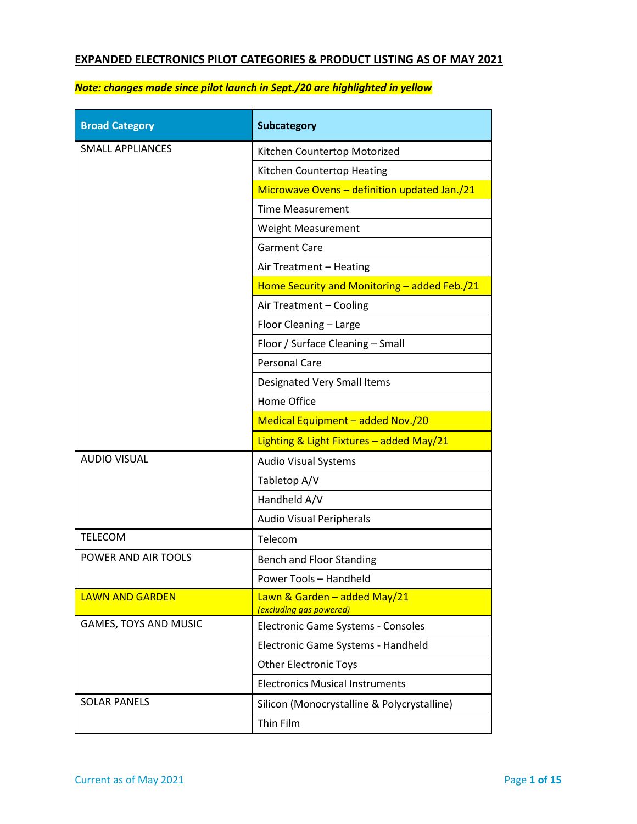# **EXPANDED ELECTRONICS PILOT CATEGORIES & PRODUCT LISTING AS OF MAY 2021**

| <b>Broad Category</b>   | <b>Subcategory</b>                                      |
|-------------------------|---------------------------------------------------------|
| <b>SMALL APPLIANCES</b> | Kitchen Countertop Motorized                            |
|                         | Kitchen Countertop Heating                              |
|                         | Microwave Ovens - definition updated Jan./21            |
|                         | <b>Time Measurement</b>                                 |
|                         | <b>Weight Measurement</b>                               |
|                         | <b>Garment Care</b>                                     |
|                         | Air Treatment - Heating                                 |
|                         | Home Security and Monitoring - added Feb./21            |
|                         | Air Treatment - Cooling                                 |
|                         | Floor Cleaning - Large                                  |
|                         | Floor / Surface Cleaning - Small                        |
|                         | <b>Personal Care</b>                                    |
|                         | Designated Very Small Items                             |
|                         | Home Office                                             |
|                         | Medical Equipment - added Nov./20                       |
|                         | Lighting & Light Fixtures - added May/21                |
| <b>AUDIO VISUAL</b>     | <b>Audio Visual Systems</b>                             |
|                         | Tabletop A/V                                            |
|                         | Handheld A/V                                            |
|                         | <b>Audio Visual Peripherals</b>                         |
| <b>TELECOM</b>          | Telecom                                                 |
| POWER AND AIR TOOLS     | <b>Bench and Floor Standing</b>                         |
|                         | Power Tools - Handheld                                  |
| <b>LAWN AND GARDEN</b>  | Lawn & Garden - added May/21<br>(excluding gas powered) |
| GAMES, TOYS AND MUSIC   | Electronic Game Systems - Consoles                      |
|                         | Electronic Game Systems - Handheld                      |
|                         | <b>Other Electronic Toys</b>                            |
|                         | <b>Electronics Musical Instruments</b>                  |
| <b>SOLAR PANELS</b>     | Silicon (Monocrystalline & Polycrystalline)             |
|                         | Thin Film                                               |

## *Note: changes made since pilot launch in Sept./20 are highlighted in yellow*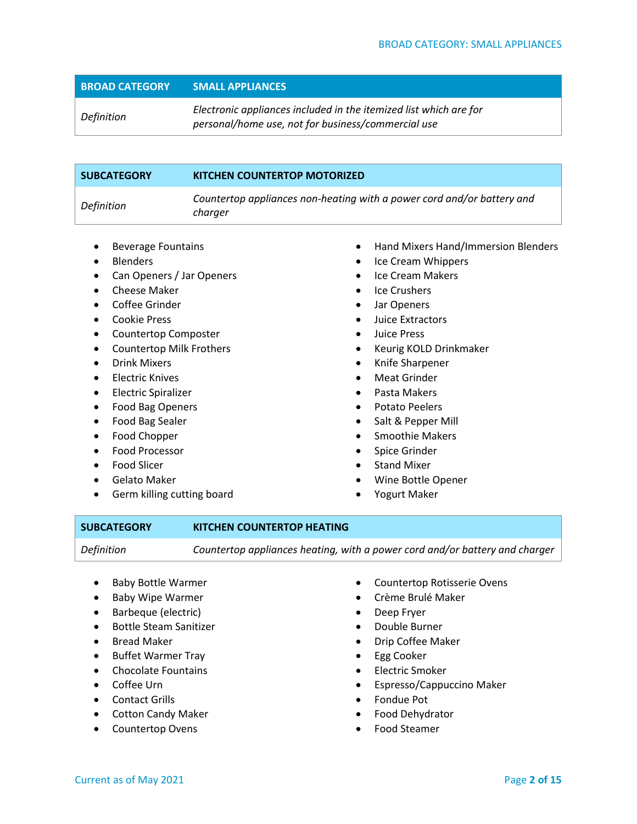*Definition Electronic appliances included in the itemized list which are for personal/home use, not for business/commercial use*

| <b>SUBCATEGORY</b> | <b>KITCHEN COUNTERTOP MOTORIZED</b>                                               |
|--------------------|-----------------------------------------------------------------------------------|
| Definition         | Countertop appliances non-heating with a power cord and/or battery and<br>charger |
|                    |                                                                                   |

- Beverage Fountains
- **Blenders**
- Can Openers / Jar Openers
- Cheese Maker
- Coffee Grinder
- Cookie Press
- Countertop Composter
- Countertop Milk Frothers
- Drink Mixers
- Electric Knives
- Electric Spiralizer
- Food Bag Openers
- Food Bag Sealer
- Food Chopper
- Food Processor
- Food Slicer
- Gelato Maker
- Germ killing cutting board
- Hand Mixers Hand/Immersion Blenders
- Ice Cream Whippers
- Ice Cream Makers
- Ice Crushers
- Jar Openers
- Juice Extractors
- Juice Press
- Keurig KOLD Drinkmaker
- Knife Sharpener
- Meat Grinder
- Pasta Makers
- Potato Peelers
- Salt & Pepper Mill
- Smoothie Makers
- Spice Grinder
- **Stand Mixer**
- Wine Bottle Opener
- Yogurt Maker

### **SUBCATEGORY KITCHEN COUNTERTOP HEATING**

*Definition Countertop appliances heating, with a power cord and/or battery and charger*

- Baby Bottle Warmer
- Baby Wipe Warmer
- Barbeque (electric)
- Bottle Steam Sanitizer
- Bread Maker
- Buffet Warmer Tray
- Chocolate Fountains
- Coffee Urn
- Contact Grills
- Cotton Candy Maker
- Countertop Ovens
- Countertop Rotisserie Ovens
- Crème Brulé Maker
- Deep Fryer
- Double Burner
- Drip Coffee Maker
- Egg Cooker
- Electric Smoker
- Espresso/Cappuccino Maker
- Fondue Pot
- Food Dehydrator
- Food Steamer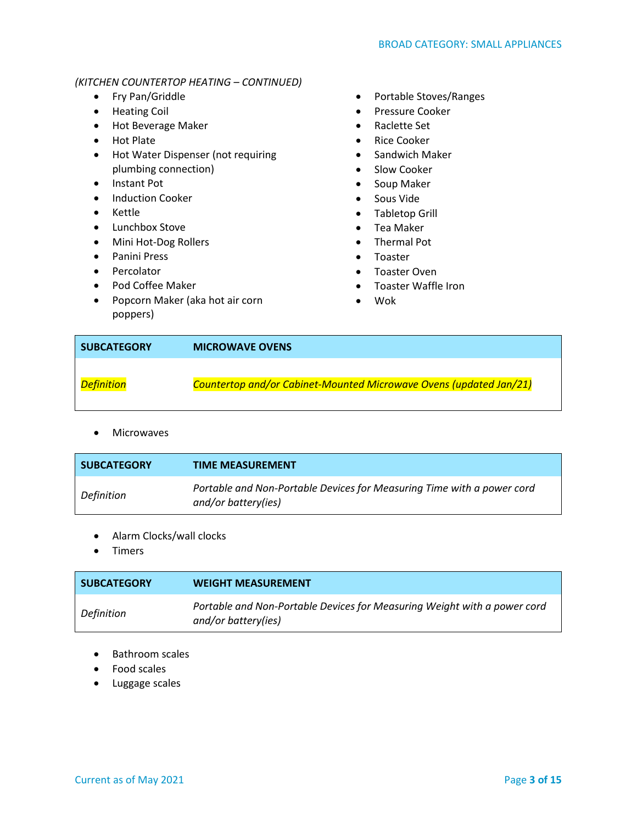#### *(KITCHEN COUNTERTOP HEATING – CONTINUED)*

- Fry Pan/Griddle
- Heating Coil
- Hot Beverage Maker
- Hot Plate
- Hot Water Dispenser (not requiring plumbing connection)
- Instant Pot
- Induction Cooker
- Kettle
- Lunchbox Stove
- Mini Hot-Dog Rollers
- Panini Press
- Percolator
- Pod Coffee Maker
- Popcorn Maker (aka hot air corn poppers)
- Portable Stoves/Ranges
- Pressure Cooker
- Raclette Set
- Rice Cooker
- Sandwich Maker
- Slow Cooker
- Soup Maker
- Sous Vide
- Tabletop Grill
- Tea Maker
- Thermal Pot
- Toaster
- Toaster Oven
- Toaster Waffle Iron
- Wok

| <b>SUBCATEGORY</b> | <b>MICROWAVE OVENS</b>                                             |
|--------------------|--------------------------------------------------------------------|
| <b>Definition</b>  | Countertop and/or Cabinet-Mounted Microwave Ovens (updated Jan/21) |

• Microwaves

| <b>SUBCATEGORY</b> | <b>TIME MEASUREMENT</b>                                                                       |
|--------------------|-----------------------------------------------------------------------------------------------|
| Definition         | Portable and Non-Portable Devices for Measuring Time with a power cord<br>and/or battery(ies) |

- Alarm Clocks/wall clocks
- Timers

| <b>SUBCATEGORY</b> | <b>WEIGHT MEASUREMENT</b>                                                                       |
|--------------------|-------------------------------------------------------------------------------------------------|
| Definition         | Portable and Non-Portable Devices for Measuring Weight with a power cord<br>and/or battery(ies) |

- Bathroom scales
- Food scales
- Luggage scales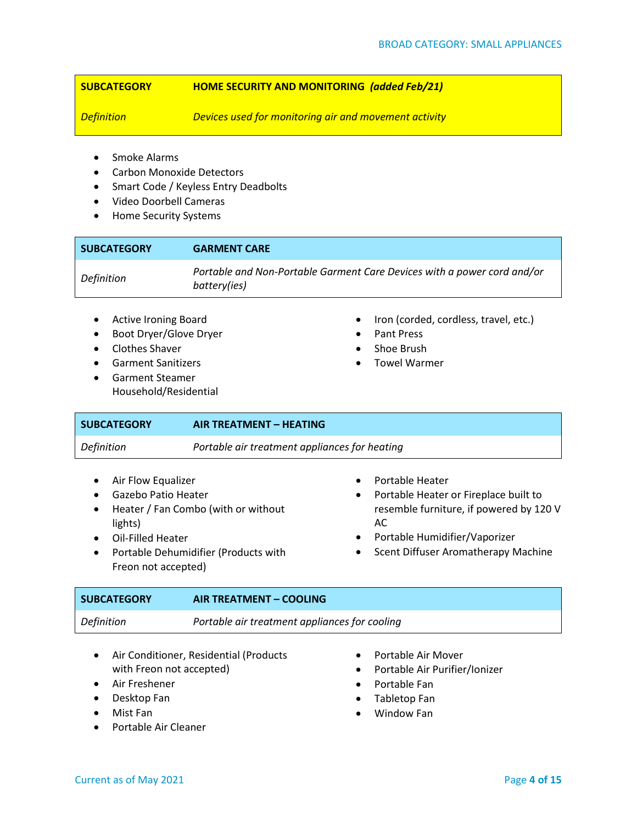#### **SUBCATEGORY HOME SECURITY AND MONITORING** *(added Feb/21)*

*Definition Devices used for monitoring air and movement activity*

- Smoke Alarms
- Carbon Monoxide Detectors
- Smart Code / Keyless Entry Deadbolts
- Video Doorbell Cameras
- Home Security Systems

| <b>SUBCATEGORY</b> | <b>GARMENT CARE</b>                                                                     |
|--------------------|-----------------------------------------------------------------------------------------|
| Definition         | Portable and Non-Portable Garment Care Devices with a power cord and/or<br>battery(ies) |
|                    |                                                                                         |

- Active Ironing Board
- Boot Dryer/Glove Dryer
- Clothes Shaver
- Garment Sanitizers
- Garment Steamer Household/Residential
- Iron (corded, cordless, travel, etc.)
- Pant Press
- Shoe Brush
- Towel Warmer

| <b>SUBCATEGORY</b> | AIR TREATMENT - HEATING                       |
|--------------------|-----------------------------------------------|
| Definition         | Portable air treatment appliances for heating |
|                    |                                               |

- Air Flow Equalizer
- Gazebo Patio Heater
- Heater / Fan Combo (with or without lights)
- Oil-Filled Heater
- Portable Dehumidifier (Products with Freon not accepted)
- Portable Heater
- Portable Heater or Fireplace built to resemble furniture, if powered by 120 V AC
- Portable Humidifier/Vaporizer
- Scent Diffuser Aromatherapy Machine

| <b>SUBCATEGORY</b> | AIR TREATMENT - COOLING                       |
|--------------------|-----------------------------------------------|
| Definition         | Portable air treatment appliances for cooling |

- Air Conditioner, Residential (Products with Freon not accepted)
- Air Freshener
- Desktop Fan
- Mist Fan
- Portable Air Cleaner
- Portable Air Mover
- Portable Air Purifier/Ionizer
- Portable Fan
- Tabletop Fan
- Window Fan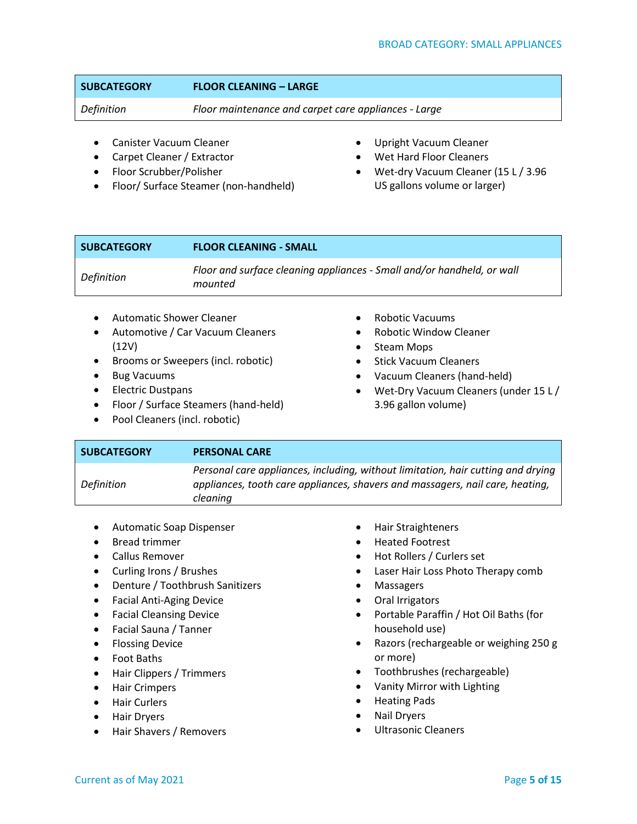### **SUBCATEGORY FLOOR CLEANING – LARGE**

*Definition Floor maintenance and carpet care appliances - Large*

- Canister Vacuum Cleaner
- Carpet Cleaner / Extractor
- Floor Scrubber/Polisher
- Floor/ Surface Steamer (non-handheld)
- Upright Vacuum Cleaner
- Wet Hard Floor Cleaners
- Wet-dry Vacuum Cleaner (15 L / 3.96 US gallons volume or larger)

| <b>SUBCATEGORY</b> | <b>FLOOR CLEANING - SMALL</b>                                                     |
|--------------------|-----------------------------------------------------------------------------------|
| Definition         | Floor and surface cleaning appliances - Small and/or handheld, or wall<br>mounted |

- Automatic Shower Cleaner
- Automotive / Car Vacuum Cleaners (12V)
- Brooms or Sweepers (incl. robotic)
- Bug Vacuums
- Electric Dustpans
- Floor / Surface Steamers (hand-held)
- Pool Cleaners (incl. robotic)
- Robotic Vacuums
- Robotic Window Cleaner
- Steam Mops
- Stick Vacuum Cleaners
- Vacuum Cleaners (hand-held)
- Wet-Dry Vacuum Cleaners (under 15 L / 3.96 gallon volume)

| <b>SUBCATEGORY</b> | <b>PERSONAL CARE</b>                                                                                                                                                          |
|--------------------|-------------------------------------------------------------------------------------------------------------------------------------------------------------------------------|
| Definition         | Personal care appliances, including, without limitation, hair cutting and drying<br>appliances, tooth care appliances, shavers and massagers, nail care, heating,<br>cleaning |

- Automatic Soap Dispenser
- Bread trimmer
- Callus Remover
- Curling Irons / Brushes
- Denture / Toothbrush Sanitizers
- Facial Anti-Aging Device
- Facial Cleansing Device
- Facial Sauna / Tanner
- Flossing Device
- Foot Baths
- Hair Clippers / Trimmers
- Hair Crimpers
- Hair Curlers
- Hair Dryers
- Hair Shavers / Removers
- Hair Straighteners
- Heated Footrest
- Hot Rollers / Curlers set
- Laser Hair Loss Photo Therapy comb
- Massagers
- Oral Irrigators
- Portable Paraffin / Hot Oil Baths (for household use)
- Razors (rechargeable or weighing 250 g or more)
- Toothbrushes (rechargeable)
- Vanity Mirror with Lighting
- Heating Pads
- Nail Dryers
- Ultrasonic Cleaners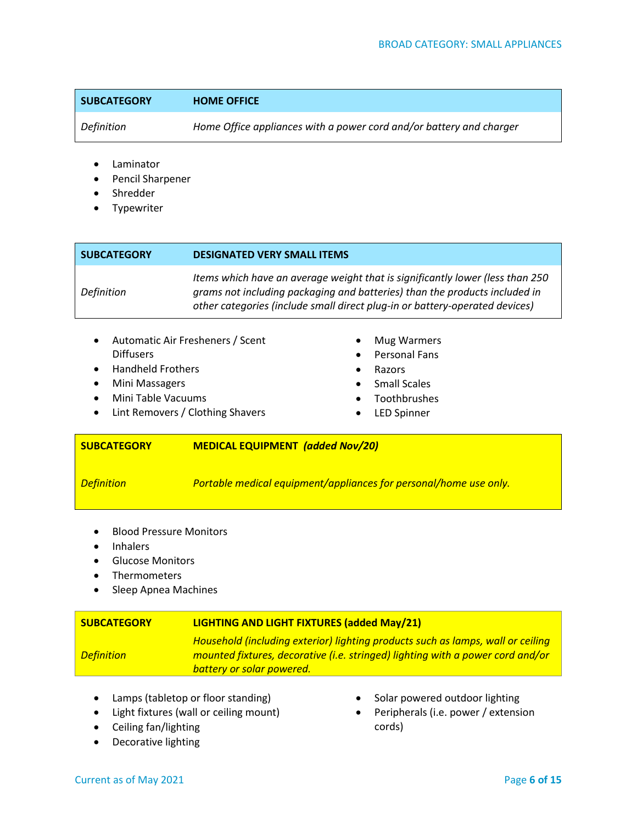| <b>SUBCATEGORY</b> | <b>HOME OFFICE</b> |
|--------------------|--------------------|
|                    |                    |

*Definition Home Office appliances with a power cord and/or battery and charger*

- **Laminator**
- Pencil Sharpener
- **Shredder**
- Typewriter

| <b>SUBCATEGORY</b>                                                                                    | <b>DESIGNATED VERY SMALL ITEMS</b> |                |                                                                                                                                                                                                                                            |
|-------------------------------------------------------------------------------------------------------|------------------------------------|----------------|--------------------------------------------------------------------------------------------------------------------------------------------------------------------------------------------------------------------------------------------|
| Definition                                                                                            |                                    |                | Items which have an average weight that is significantly lower (less than 250<br>grams not including packaging and batteries) than the products included in<br>other categories (include small direct plug-in or battery-operated devices) |
| $\bullet$<br><b>Diffusers</b><br><b>Handheld Frothers</b><br>$\bullet$<br>Mini Maccagare<br>$\bullet$ | Automatic Air Fresheners / Scent   | ٠<br>$\bullet$ | Mug Warmers<br><b>Personal Fans</b><br>Razors<br>a Cmall Caples                                                                                                                                                                            |

- Mini Massagers
- Mini Table Vacuums
- Lint Removers / Clothing Shavers
- Small Scales
- Toothbrushes
- **LED Spinner**

#### **SUBCATEGORY MEDICAL EQUIPMENT** *(added Nov/20)*

*Definition Portable medical equipment/appliances for personal/home use only.*

- Blood Pressure Monitors
- **Inhalers**
- Glucose Monitors
- **Thermometers**
- Sleep Apnea Machines

#### **SUBCATEGORY LIGHTING AND LIGHT FIXTURES (added May/21)** *Definition Household (including exterior) lighting products such as lamps, wall or ceiling mounted fixtures, decorative (i.e. stringed) lighting with a power cord and/or battery or solar powered.*

- Lamps (tabletop or floor standing)
- Light fixtures (wall or ceiling mount)
- Ceiling fan/lighting
- Decorative lighting
- Solar powered outdoor lighting
- Peripherals (i.e. power / extension cords)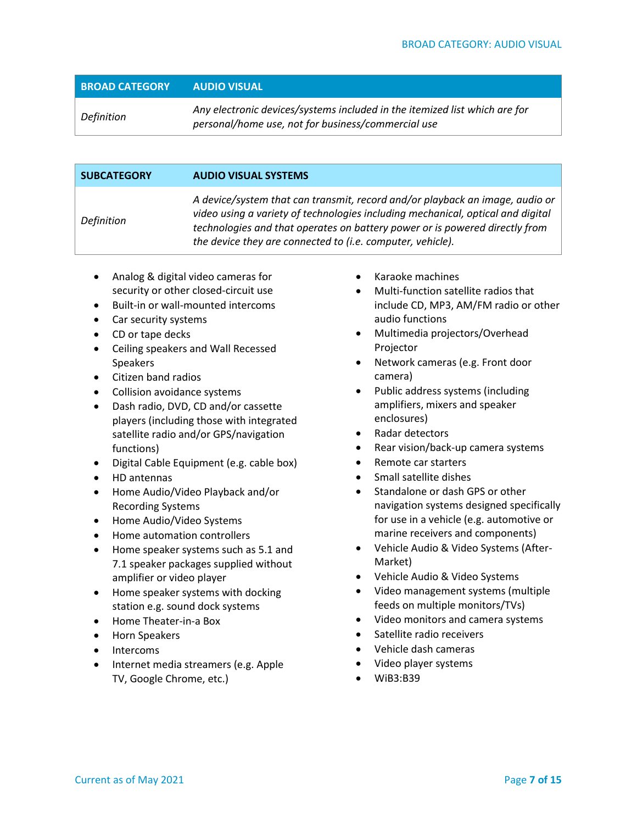| <b>BROAD CATEGORY</b> | AUDIO VISUAL                                                                                                                     |
|-----------------------|----------------------------------------------------------------------------------------------------------------------------------|
| Definition            | Any electronic devices/systems included in the itemized list which are for<br>personal/home use, not for business/commercial use |

| <b>SUBCATEGORY</b> | <b>AUDIO VISUAL SYSTEMS</b>                                                                                                                                                                                                                                                                                  |
|--------------------|--------------------------------------------------------------------------------------------------------------------------------------------------------------------------------------------------------------------------------------------------------------------------------------------------------------|
| Definition         | A device/system that can transmit, record and/or playback an image, audio or<br>video using a variety of technologies including mechanical, optical and digital<br>technologies and that operates on battery power or is powered directly from<br>the device they are connected to (i.e. computer, vehicle). |

- Analog & digital video cameras for security or other closed-circuit use
- Built-in or wall-mounted intercoms
- Car security systems
- CD or tape decks
- Ceiling speakers and Wall Recessed Speakers
- Citizen band radios
- Collision avoidance systems
- Dash radio, DVD, CD and/or cassette players (including those with integrated satellite radio and/or GPS/navigation functions)
- Digital Cable Equipment (e.g. cable box)
- HD antennas
- Home Audio/Video Playback and/or Recording Systems
- Home Audio/Video Systems
- Home automation controllers
- Home speaker systems such as 5.1 and 7.1 speaker packages supplied without amplifier or video player
- Home speaker systems with docking station e.g. sound dock systems
- Home Theater-in-a Box
- Horn Speakers
- Intercoms
- Internet media streamers (e.g. Apple TV, Google Chrome, etc.)
- Karaoke machines
- Multi-function satellite radios that include CD, MP3, AM/FM radio or other audio functions
- Multimedia projectors/Overhead Projector
- Network cameras (e.g. Front door camera)
- Public address systems (including amplifiers, mixers and speaker enclosures)
- Radar detectors
- Rear vision/back-up camera systems
- Remote car starters
- Small satellite dishes
- Standalone or dash GPS or other navigation systems designed specifically for use in a vehicle (e.g. automotive or marine receivers and components)
- Vehicle Audio & Video Systems (After-Market)
- Vehicle Audio & Video Systems
- Video management systems (multiple feeds on multiple monitors/TVs)
- Video monitors and camera systems
- Satellite radio receivers
- Vehicle dash cameras
- Video player systems
- WiB3:B39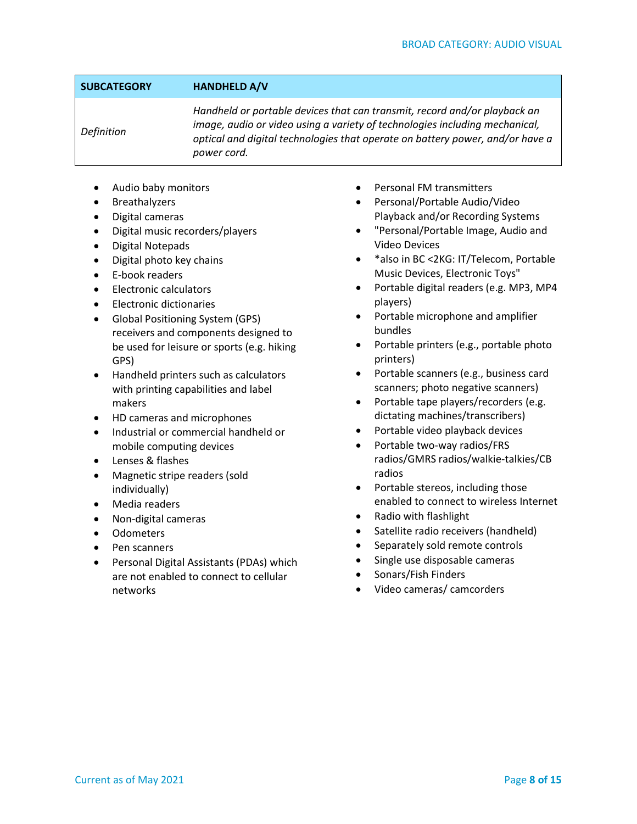#### **SUBCATEGORY HANDHELD A/V**

*Definition*

*Handheld or portable devices that can transmit, record and/or playback an image, audio or video using a variety of technologies including mechanical, optical and digital technologies that operate on battery power, and/or have a power cord.* 

- Audio baby monitors
- Breathalyzers
- Digital cameras
- Digital music recorders/players
- Digital Notepads
- Digital photo key chains
- E-book readers
- Electronic calculators
- Electronic dictionaries
- Global Positioning System (GPS) receivers and components designed to be used for leisure or sports (e.g. hiking GPS)
- Handheld printers such as calculators with printing capabilities and label makers
- HD cameras and microphones
- Industrial or commercial handheld or mobile computing devices
- Lenses & flashes
- Magnetic stripe readers (sold individually)
- Media readers
- Non-digital cameras
- Odometers
- Pen scanners
- Personal Digital Assistants (PDAs) which are not enabled to connect to cellular networks
- Personal FM transmitters
- Personal/Portable Audio/Video Playback and/or Recording Systems
- "Personal/Portable Image, Audio and Video Devices
- \*also in BC <2KG: IT/Telecom, Portable Music Devices, Electronic Toys"
- Portable digital readers (e.g. MP3, MP4 players)
- Portable microphone and amplifier bundles
- Portable printers (e.g., portable photo printers)
- Portable scanners (e.g., business card scanners; photo negative scanners)
- Portable tape players/recorders (e.g. dictating machines/transcribers)
- Portable video playback devices
- Portable two-way radios/FRS radios/GMRS radios/walkie-talkies/CB radios
- Portable stereos, including those enabled to connect to wireless Internet
- Radio with flashlight
- Satellite radio receivers (handheld)
- Separately sold remote controls
- Single use disposable cameras
- Sonars/Fish Finders
- Video cameras/ camcorders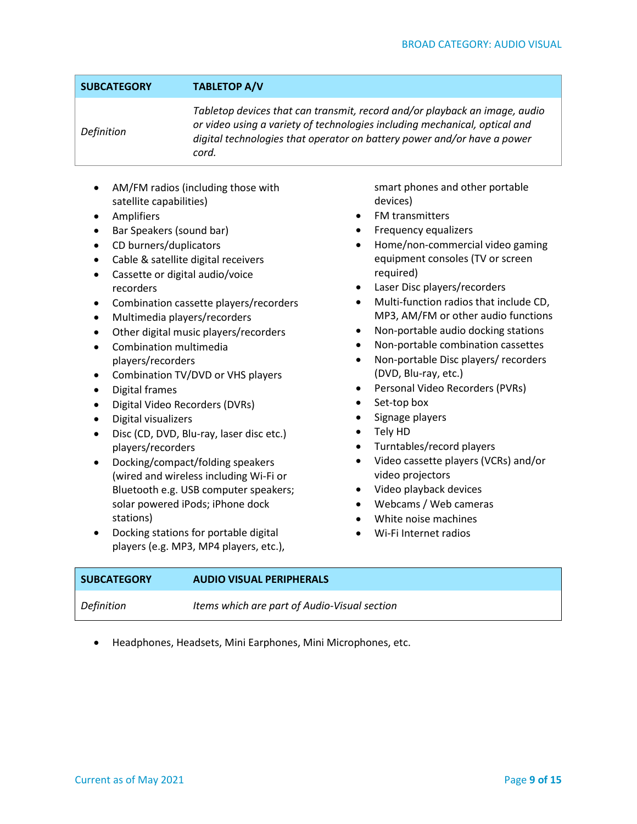### **SUBCATEGORY TABLETOP A/V**

*Definition*

*Tabletop devices that can transmit, record and/or playback an image, audio or video using a variety of technologies including mechanical, optical and digital technologies that operator on battery power and/or have a power cord.*

- AM/FM radios (including those with satellite capabilities)
- Amplifiers
- Bar Speakers (sound bar)
- CD burners/duplicators
- Cable & satellite digital receivers
- Cassette or digital audio/voice recorders
- Combination cassette players/recorders
- Multimedia players/recorders
- Other digital music players/recorders
- Combination multimedia players/recorders
- Combination TV/DVD or VHS players
- Digital frames
- Digital Video Recorders (DVRs)
- Digital visualizers
- Disc (CD, DVD, Blu-ray, laser disc etc.) players/recorders
- Docking/compact/folding speakers (wired and wireless including Wi-Fi or Bluetooth e.g. USB computer speakers; solar powered iPods; iPhone dock stations)
- Docking stations for portable digital players (e.g. MP3, MP4 players, etc.),

smart phones and other portable devices)

- FM transmitters
- Frequency equalizers
- Home/non-commercial video gaming equipment consoles (TV or screen required)
- Laser Disc players/recorders
- Multi-function radios that include CD, MP3, AM/FM or other audio functions
- Non-portable audio docking stations
- Non-portable combination cassettes
- Non-portable Disc players/ recorders (DVD, Blu-ray, etc.)
- Personal Video Recorders (PVRs)
- Set-top box
- Signage players
- Tely HD
- Turntables/record players
- Video cassette players (VCRs) and/or video projectors
- Video playback devices
- Webcams / Web cameras
- White noise machines
- Wi-Fi Internet radios

| <b>SUBCATEGORY</b> | <b>AUDIO VISUAL PERIPHERALS</b>              |
|--------------------|----------------------------------------------|
| Definition         | Items which are part of Audio-Visual section |

• Headphones, Headsets, Mini Earphones, Mini Microphones, etc.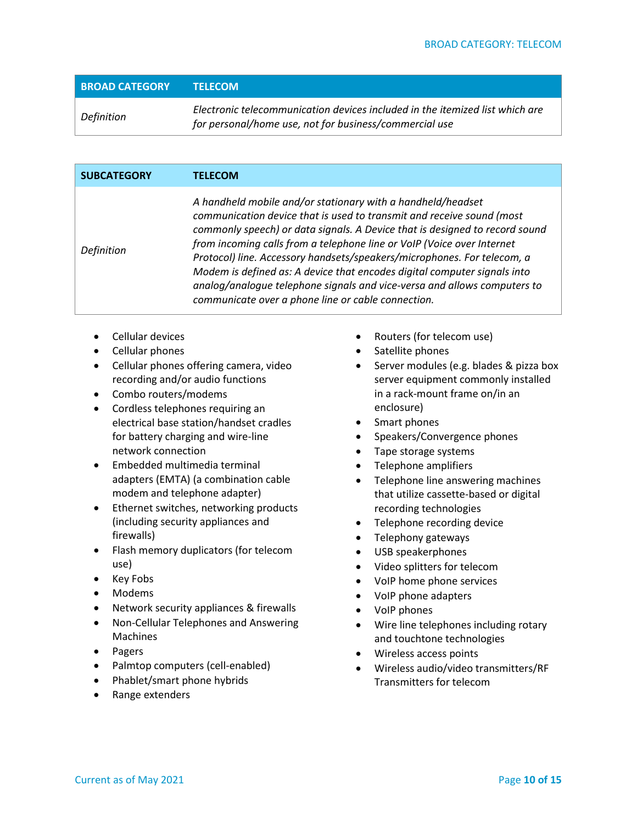| <b>BROAD CATEGORY</b> | <b>TELECOM</b>                                                                                                                         |
|-----------------------|----------------------------------------------------------------------------------------------------------------------------------------|
| Definition            | Electronic telecommunication devices included in the itemized list which are<br>for personal/home use, not for business/commercial use |

| <b>SUBCATEGORY</b> | <b>TELECOM</b>                                                                                                                                                                                                                                                                                                                                                                                                                                                                                                                                                                         |
|--------------------|----------------------------------------------------------------------------------------------------------------------------------------------------------------------------------------------------------------------------------------------------------------------------------------------------------------------------------------------------------------------------------------------------------------------------------------------------------------------------------------------------------------------------------------------------------------------------------------|
| Definition         | A handheld mobile and/or stationary with a handheld/headset<br>communication device that is used to transmit and receive sound (most<br>commonly speech) or data signals. A Device that is designed to record sound<br>from incoming calls from a telephone line or VoIP (Voice over Internet<br>Protocol) line. Accessory handsets/speakers/microphones. For telecom, a<br>Modem is defined as: A device that encodes digital computer signals into<br>analog/analogue telephone signals and vice-versa and allows computers to<br>communicate over a phone line or cable connection. |

- Cellular devices
- Cellular phones
- Cellular phones offering camera, video recording and/or audio functions
- Combo routers/modems
- Cordless telephones requiring an electrical base station/handset cradles for battery charging and wire-line network connection
- Embedded multimedia terminal adapters (EMTA) (a combination cable modem and telephone adapter)
- Ethernet switches, networking products (including security appliances and firewalls)
- Flash memory duplicators (for telecom use)
- Key Fobs
- Modems
- Network security appliances & firewalls
- Non‐Cellular Telephones and Answering Machines
- Pagers
- Palmtop computers (cell-enabled)
- Phablet/smart phone hybrids
- Range extenders
- Routers (for telecom use)
- Satellite phones
- Server modules (e.g. blades & pizza box server equipment commonly installed in a rack-mount frame on/in an enclosure)
- Smart phones
- Speakers/Convergence phones
- Tape storage systems
- Telephone amplifiers
- Telephone line answering machines that utilize cassette-based or digital recording technologies
- Telephone recording device
- Telephony gateways
- USB speakerphones
- Video splitters for telecom
- VoIP home phone services
- VoIP phone adapters
- VoIP phones
- Wire line telephones including rotary and touchtone technologies
- Wireless access points
- Wireless audio/video transmitters/RF Transmitters for telecom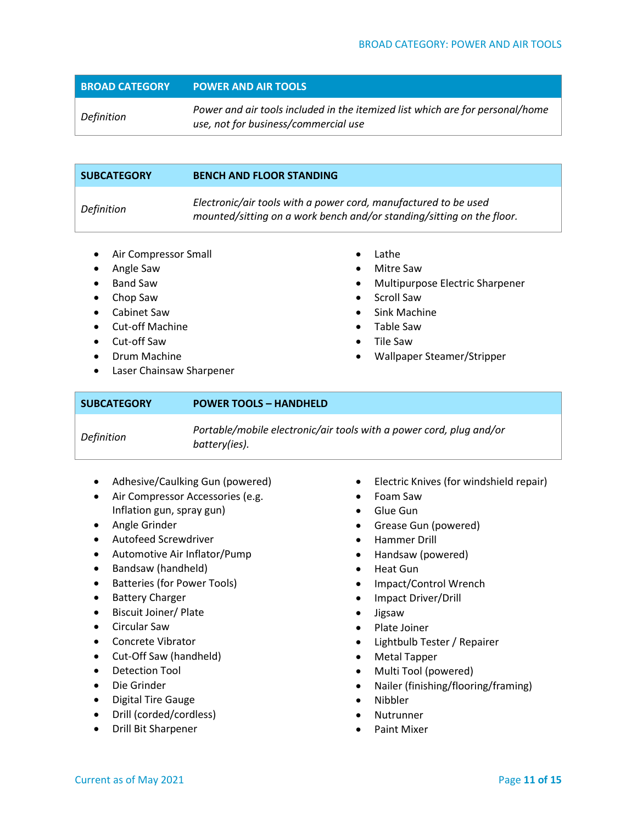#### **BROAD CATEGORY POWER AND AIR TOOLS**

*Definition Power and air tools included in the itemized list which are for personal/home use, not for business/commercial use*

| Electronic/air tools with a power cord, manufactured to be used<br>Definition<br>mounted/sitting on a work bench and/or standing/sitting on the floor. |  |
|--------------------------------------------------------------------------------------------------------------------------------------------------------|--|
|                                                                                                                                                        |  |

- Air Compressor Small
- Angle Saw
- Band Saw
- Chop Saw
- Cabinet Saw
- Cut-off Machine
- Cut-off Saw
- Drum Machine
- Laser Chainsaw Sharpener
- Lathe
- Mitre Saw
- Multipurpose Electric Sharpener
- Scroll Saw
- Sink Machine
- Table Saw
- Tile Saw
- Wallpaper Steamer/Stripper
- **SUBCATEGORY POWER TOOLS – HANDHELD** *Definition Portable/mobile electronic/air tools with a power cord, plug and/or battery(ies).*
	- Adhesive/Caulking Gun (powered)
	- Air Compressor Accessories (e.g. Inflation gun, spray gun)
	- Angle Grinder
	- Autofeed Screwdriver
	- Automotive Air Inflator/Pump
	- Bandsaw (handheld)
	- Batteries (for Power Tools)
	- Battery Charger
	- Biscuit Joiner/ Plate
	- Circular Saw
	- Concrete Vibrator
	- Cut-Off Saw (handheld)
	- Detection Tool
	- Die Grinder
	- Digital Tire Gauge
	- Drill (corded/cordless)
	- Drill Bit Sharpener
- Electric Knives (for windshield repair)
- Foam Saw
- Glue Gun
- Grease Gun (powered)
- Hammer Drill
- Handsaw (powered)
- Heat Gun
- Impact/Control Wrench
- Impact Driver/Drill
- Jigsaw
- Plate Joiner
- Lightbulb Tester / Repairer
- Metal Tapper
- Multi Tool (powered)
- Nailer (finishing/flooring/framing)
- Nibbler
- **Nutrunner**
- Paint Mixer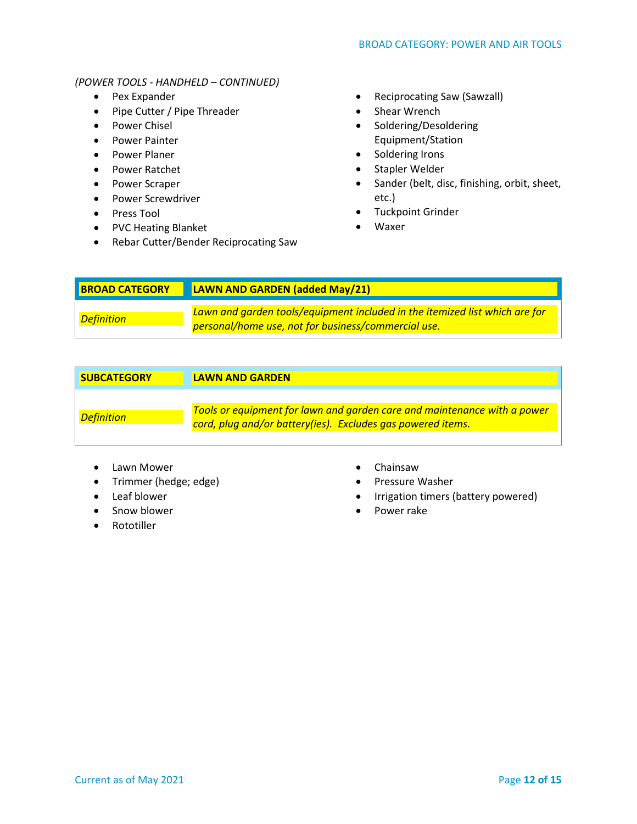#### *(POWER TOOLS - HANDHELD – CONTINUED)*

- Pex Expander
- Pipe Cutter / Pipe Threader
- Power Chisel
- Power Painter
- Power Planer
- Power Ratchet
- Power Scraper
- Power Screwdriver
- Press Tool
- PVC Heating Blanket
- Rebar Cutter/Bender Reciprocating Saw
- Reciprocating Saw (Sawzall)
- Shear Wrench
- Soldering/Desoldering Equipment/Station
- Soldering Irons
- Stapler Welder
- Sander (belt, disc, finishing, orbit, sheet, etc.)
- Tuckpoint Grinder
- Waxer

| <b>BROAD CATEGORY</b> | <b>LAWN AND GARDEN (added May/21)</b>                                                                                              |
|-----------------------|------------------------------------------------------------------------------------------------------------------------------------|
| Definition            | Lawn and garden tools/equipment included in the itemized list which are for<br>personal/home use, not for business/commercial use. |

| <b>SUBCATEGORY</b> | <b>LAWN AND GARDEN</b>                                                                                                                  |
|--------------------|-----------------------------------------------------------------------------------------------------------------------------------------|
| <b>Definition</b>  | Tools or equipment for lawn and garden care and maintenance with a power<br>cord, plug and/or battery(ies). Excludes gas powered items. |

- Lawn Mower
- Trimmer (hedge; edge)
- Leaf blower
- Snow blower
- Rototiller
- Chainsaw
- Pressure Washer
- Irrigation timers (battery powered)
- Power rake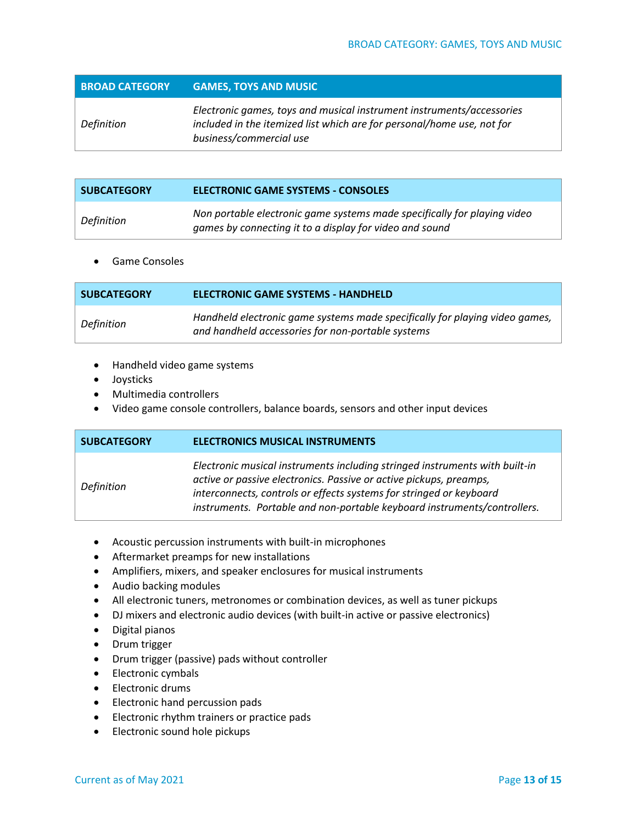**BROAD CATEGORY GAMES, TOYS AND MUSIC**

|            | Electronic games, toys and musical instrument instruments/accessories  |
|------------|------------------------------------------------------------------------|
| Definition | included in the itemized list which are for personal/home use, not for |
|            | business/commercial use                                                |

| <b>SUBCATEGORY</b> | ELECTRONIC GAME SYSTEMS - CONSOLES                                                                                                  |
|--------------------|-------------------------------------------------------------------------------------------------------------------------------------|
| Definition         | Non portable electronic game systems made specifically for playing video<br>games by connecting it to a display for video and sound |

• Game Consoles

| <b>SUBCATEGORY</b> | <b>ELECTRONIC GAME SYSTEMS - HANDHELD</b>                                                                                        |
|--------------------|----------------------------------------------------------------------------------------------------------------------------------|
| Definition         | Handheld electronic game systems made specifically for playing video games,<br>and handheld accessories for non-portable systems |

- Handheld video game systems
- Joysticks
- Multimedia controllers
- Video game console controllers, balance boards, sensors and other input devices

| <b>SUBCATEGORY</b> | <b>ELECTRONICS MUSICAL INSTRUMENTS</b>                                                                                                                                                                                                                                                               |
|--------------------|------------------------------------------------------------------------------------------------------------------------------------------------------------------------------------------------------------------------------------------------------------------------------------------------------|
| Definition         | Electronic musical instruments including stringed instruments with built-in<br>active or passive electronics. Passive or active pickups, preamps,<br>interconnects, controls or effects systems for stringed or keyboard<br>instruments. Portable and non-portable keyboard instruments/controllers. |

- Acoustic percussion instruments with built-in microphones
- Aftermarket preamps for new installations
- Amplifiers, mixers, and speaker enclosures for musical instruments
- Audio backing modules
- All electronic tuners, metronomes or combination devices, as well as tuner pickups
- DJ mixers and electronic audio devices (with built-in active or passive electronics)
- Digital pianos
- Drum trigger
- Drum trigger (passive) pads without controller
- Electronic cymbals
- Electronic drums
- Electronic hand percussion pads
- Electronic rhythm trainers or practice pads
- Electronic sound hole pickups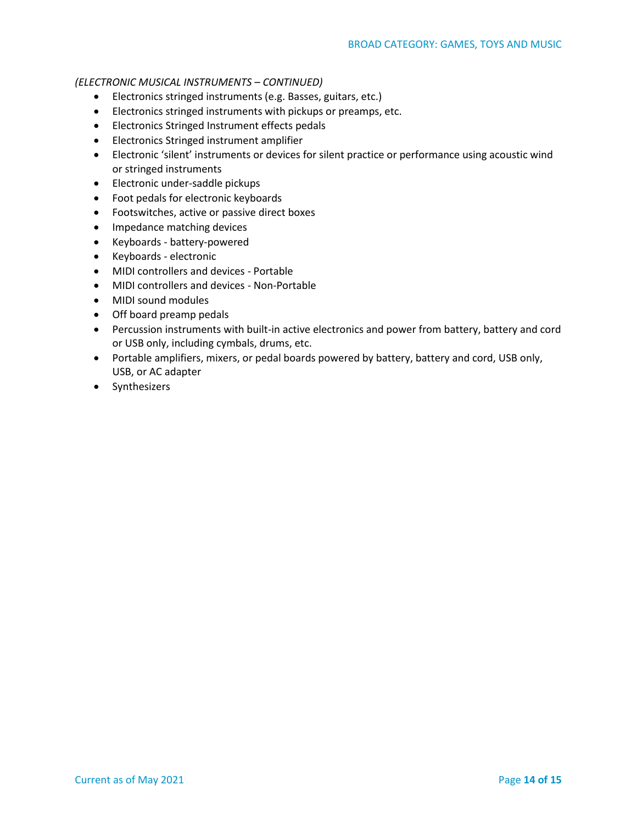#### *(ELECTRONIC MUSICAL INSTRUMENTS – CONTINUED)*

- Electronics stringed instruments (e.g. Basses, guitars, etc.)
- Electronics stringed instruments with pickups or preamps, etc.
- Electronics Stringed Instrument effects pedals
- Electronics Stringed instrument amplifier
- Electronic 'silent' instruments or devices for silent practice or performance using acoustic wind or stringed instruments
- Electronic under-saddle pickups
- Foot pedals for electronic keyboards
- Footswitches, active or passive direct boxes
- Impedance matching devices
- Keyboards battery-powered
- Keyboards electronic
- MIDI controllers and devices Portable
- MIDI controllers and devices Non-Portable
- MIDI sound modules
- Off board preamp pedals
- Percussion instruments with built-in active electronics and power from battery, battery and cord or USB only, including cymbals, drums, etc.
- Portable amplifiers, mixers, or pedal boards powered by battery, battery and cord, USB only, USB, or AC adapter
- Synthesizers